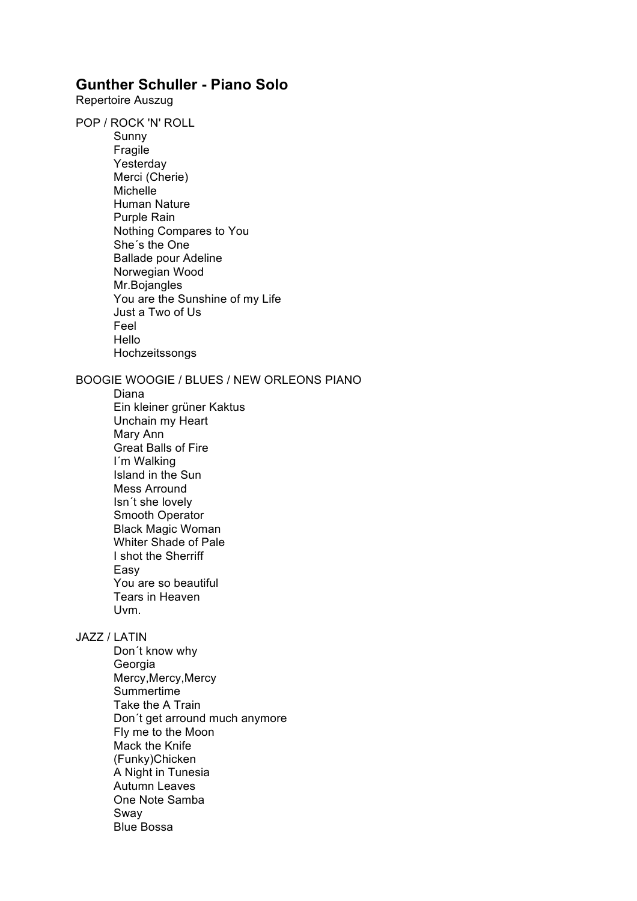## **Gunther Schuller - Piano Solo**

Repertoire Auszug

POP / ROCK 'N' ROLL Sunny Fragile Yesterday Merci (Cherie) Michelle Human Nature Purple Rain Nothing Compares to You She´s the One Ballade pour Adeline Norwegian Wood Mr.Bojangles You are the Sunshine of my Life Just a Two of Us Feel Hello Hochzeitssongs

## BOOGIE WOOGIE / BLUES / NEW ORLEONS PIANO

Diana Ein kleiner grüner Kaktus Unchain my Heart Mary Ann Great Balls of Fire I´m Walking Island in the Sun Mess Arround Isn´t she lovely Smooth Operator Black Magic Woman Whiter Shade of Pale I shot the Sherriff Easy You are so beautiful Tears in Heaven Uvm.

## JAZZ / LATIN

Don´t know why Georgia Mercy,Mercy,Mercy Summertime Take the A Train Don´t get arround much anymore Fly me to the Moon Mack the Knife (Funky)Chicken A Night in Tunesia Autumn Leaves One Note Samba Sway Blue Bossa